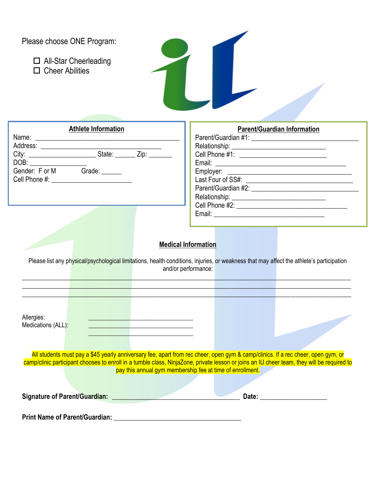| Please choose ONE Program:<br>$\Box$ All-Star Cheerleading<br>$\Box$ Cheer Abilities                                                                                                                                                                                                                                                                                                                                                                                                                       |                                                           |
|------------------------------------------------------------------------------------------------------------------------------------------------------------------------------------------------------------------------------------------------------------------------------------------------------------------------------------------------------------------------------------------------------------------------------------------------------------------------------------------------------------|-----------------------------------------------------------|
| <b>Athlete Information</b><br>Gender: F or M Grade: ______<br>Cell Phone #: <b>All Cell Phone #:</b>                                                                                                                                                                                                                                                                                                                                                                                                       | <b>Parent/Guardian Information</b>                        |
| <b>Medical Information</b><br>Please list any physical/psychological limitations, health conditions, injuries, or weakness that may affect the athlete's participation<br>and/or performance:<br>Allergies:<br><u> 1989 - John Barn Barn, mars and de Branch Barn, mars and de Branch Barn, mars and de Branch Barn, mars and de</u><br>Medications (ALL):                                                                                                                                                 |                                                           |
| <u> 1980 - Johann Barn, mars ann an t-Amhair ann an t-Amhair ann an t-Amhair ann an t-Amhair ann an t-Amhair ann an t-A</u><br>the control of the control of the control of the control of the control of the control of<br>All students must pay a \$45 yearly anniversary fee, apart from rec cheer, open gym & camp/clinics. If a rec cheer, open gym, or<br>camp/clinic participant chooses to enroll in a tumble class, NinjaZone, private lesson or joins an IU cheer team, they will be required to | pay this annual gym membership fee at time of enrollment. |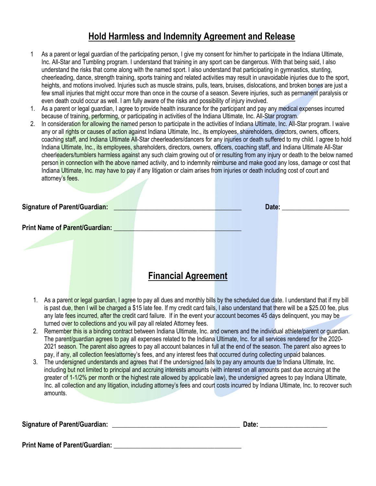### **Hold Harmless and Indemnity Agreement and Release**

- 1 As a parent or legal guardian of the participating person, I give my consent for him/her to participate in the Indiana Ultimate, Inc. All-Star and Tumbling program. I understand that training in any sport can be dangerous. With that being said, I also understand the risks that come along with the named sport. I also understand that participating in gymnastics, stunting, cheerleading, dance, strength training, sports training and related activities may result in unavoidable injuries due to the sport, heights, and motions involved. Injuries such as muscle strains, pulls, tears, bruises, dislocations, and broken bones are just a few small injuries that might occur more than once in the course of a season. Severe injuries, such as permanent paralysis or even death could occur as well. I am fully aware of the risks and possibility of injury involved.
- 1. As a parent or legal guardian, I agree to provide health insurance for the participant and pay any medical expenses incurred because of training, performing, or participating in activities of the Indiana Ultimate, Inc. All-Star program.
- 2. In consideration for allowing the named person to participate in the activities of Indiana Ultimate, Inc. All-Star program. I waive any or all rights or causes of action against Indiana Ultimate, Inc., its employees, shareholders, directors, owners, officers, coaching staff, and Indiana Ultimate All-Star cheerleaders/dancers for any injuries or death suffered to my child. I agree to hold Indiana Ultimate, Inc., its employees, shareholders, directors, owners, officers, coaching staff, and Indiana Ultimate All-Star cheerleaders/tumblers harmless against any such claim growing out of or resulting from any injury or death to the below named person in connection with the above named activity, and to indemnity reimburse and make good any loss, damage or cost that Indiana Ultimate, Inc. may have to pay if any litigation or claim arises from injuries or death including cost of court and attorney's fees.

| <b>Signature of Parent/Guardian:</b> |                                |                            | Date: |
|--------------------------------------|--------------------------------|----------------------------|-------|
|                                      | Print Name of Parent/Guardian: |                            |       |
|                                      |                                |                            |       |
|                                      |                                |                            |       |
|                                      |                                | <b>Financial Agreement</b> |       |

- 1. As a parent or legal guardian, I agree to pay all dues and monthly bills by the scheduled due date. I understand that if my bill is past due, then I will be charged a \$15 late fee. If my credit card fails, I also understand that there will be a \$25.00 fee, plus any late fees incurred, after the credit card failure. If in the event your account becomes 45 days delinquent, you may be turned over to collections and you will pay all related Attorney fees.
- 2. Remember this is a binding contract between Indiana Ultimate, Inc. and owners and the individual athlete/parent or guardian. The parent/guardian agrees to pay all expenses related to the Indiana Ultimate, Inc. for all services rendered for the 2020-2021 season. The parent also agrees to pay all account balances in full at the end of the season. The parent also agrees to pay, if any, all collection fees/attorney's fees, and any interest fees that occurred during collecting unpaid balances.
- 3. The undersigned understands and agrees that if the undersigned fails to pay any amounts due to Indiana Ultimate, Inc. including but not limited to principal and accruing interests amounts (with interest on all amounts past due accruing at the greater of 1-1/2% per month or the highest rate allowed by applicable law), the undersigned agrees to pay Indiana Ultimate, Inc. all collection and any litigation, including attorney's fees and court costs incurred by Indiana Ultimate, Inc. to recover such amounts.

| <b>Signature of Parent/Guardian:</b> | Date: |
|--------------------------------------|-------|
|                                      |       |

**Print Name of Parent/Guardian: \_\_\_\_\_\_\_\_\_\_\_\_\_\_\_\_\_\_\_\_\_\_\_\_\_\_\_\_\_\_\_\_\_\_\_\_\_\_**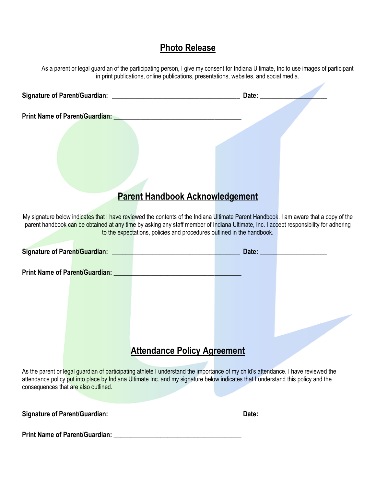## **Photo Release**

As a parent or legal guardian of the participating person, I give my consent for Indiana Ultimate, Inc to use images of participant in print publications, online publications, presentations, websites, and social media.

| Signature of Parent/Guardian: _________ |                                        | Date: |  |
|-----------------------------------------|----------------------------------------|-------|--|
| <b>Print Name of Parent/Guardian:</b>   |                                        |       |  |
|                                         |                                        |       |  |
|                                         |                                        |       |  |
|                                         |                                        |       |  |
|                                         |                                        |       |  |
|                                         | <b>Parent Handbook Acknowledgement</b> |       |  |

My signature below indicates that I have reviewed the contents of the Indiana Ultimate Parent Handbook. I am aware that a copy of the parent handbook can be obtained at any time by asking any staff member of Indiana Ultimate, Inc. I accept responsibility for adhering to the expectations, policies and procedures outlined in the handbook.

|                                      | Signature of Parent/Guardian: New York Signature of Parent/Guardian: |                                                                                                                                                                                                                                                                        | Date: |  |
|--------------------------------------|----------------------------------------------------------------------|------------------------------------------------------------------------------------------------------------------------------------------------------------------------------------------------------------------------------------------------------------------------|-------|--|
|                                      | <b>Print Name of Parent/Guardian:</b>                                |                                                                                                                                                                                                                                                                        |       |  |
|                                      |                                                                      | <b>Attendance Policy Agreement</b>                                                                                                                                                                                                                                     |       |  |
| consequences that are also outlined. |                                                                      | As the parent or legal guardian of participating athlete I understand the importance of my child's attendance. I have reviewed the<br>attendance policy put into place by Indiana Ultimate Inc. and my signature below indicates that I understand this policy and the |       |  |
| <b>Signature of Parent/Guardian:</b> |                                                                      |                                                                                                                                                                                                                                                                        | Date: |  |

**Print Name of Parent/Guardian: \_\_\_\_\_\_\_\_\_\_\_\_\_\_\_\_\_\_\_\_\_\_\_\_\_\_\_\_\_\_\_\_\_\_\_\_\_\_**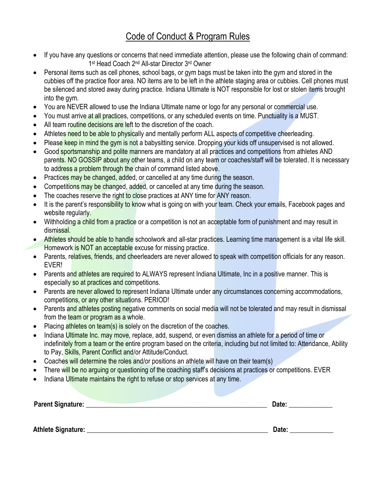# Code of Conduct & Program Rules

- If you have any questions or concerns that need immediate attention, please use the following chain of command: 1<sup>st</sup> Head Coach 2<sup>nd</sup> All-star Director 3<sup>rd</sup> Owner
- Personal items such as cell phones, school bags, or gym bags must be taken into the gym and stored in the cubbies off the practice floor area. NO items are to be left in the athlete staging area or cubbies. Cell phones must be silenced and stored away during practice. Indiana Ultimate is NOT responsible for lost or stolen items brought into the gym.
- You are NEVER allowed to use the Indiana Ultimate name or logo for any personal or commercial use.
- You must arrive at all practices, competitions, or any scheduled events on time. Punctuality is a MUST.
- All team routine decisions are left to the discretion of the coach.
- Athletes need to be able to physically and mentally perform ALL aspects of competitive cheerleading.
- Please keep in mind the gym is not a babysitting service. Dropping your kids off unsupervised is not allowed.
- Good sportsmanship and polite manners are mandatory at all practices and competitions from athletes AND parents. NO GOSSIP about any other teams, a child on any team or coaches/staff will be tolerated. It is necessary to address a problem through the chain of command listed above.
- Practices may be changed, added, or cancelled at any time during the season.
- Competitions may be changed, added, or cancelled at any time during the season.
- The coaches reserve the right to close practices at ANY time for ANY reason.
- It is the parent's responsibility to know what is going on with your team. Check your emails, Facebook pages and website regularly.
- Withholding a child from a practice or a competition is not an acceptable form of punishment and may result in dismissal.
- Athletes should be able to handle schoolwork and all-star practices. Learning time management is a vital life skill. Homework is NOT an acceptable excuse for missing practice.
- Parents, relatives, friends, and cheerleaders are never allowed to speak with competition officials for any reason. EVER!
- Parents and athletes are required to ALWAYS represent Indiana Ultimate, Inc in a positive manner. This is especially so at practices and competitions.
- Parents are never allowed to represent Indiana Ultimate under any circumstances concerning accommodations, competitions, or any other situations. PERIOD!
- Parents and athletes posting negative comments on social media will not be tolerated and may result in dismissal from the team or program as a whole.
- Placing athletes on team(s) is solely on the discretion of the coaches.
- Indiana Ultimate Inc. may move, replace, add, suspend, or even dismiss an athlete for a period of time or indefinitely from a team or the entire program based on the criteria, including but not limited to: Attendance, Ability to Pay, Skills, Parent Conflict and/or Attitude/Conduct.
- Coaches will determine the roles and/or positions an athlete will have on their team(s)
- There will be no arguing or questioning of the coaching staff's decisions at practices or competitions. EVER
- Indiana Ultimate maintains the right to refuse or stop services at any time.

| Parent Signature: | Date |
|-------------------|------|
|                   |      |

Athlete Signature: **Athletic Signature: Example 20** and 20 and 20 and 20 and 20 and 20 and 20 and 20 and 20 and 20 and 20 and 20 and 20 and 20 and 20 and 20 and 20 and 20 and 20 and 20 and 20 and 20 and 20 and 20 and 20